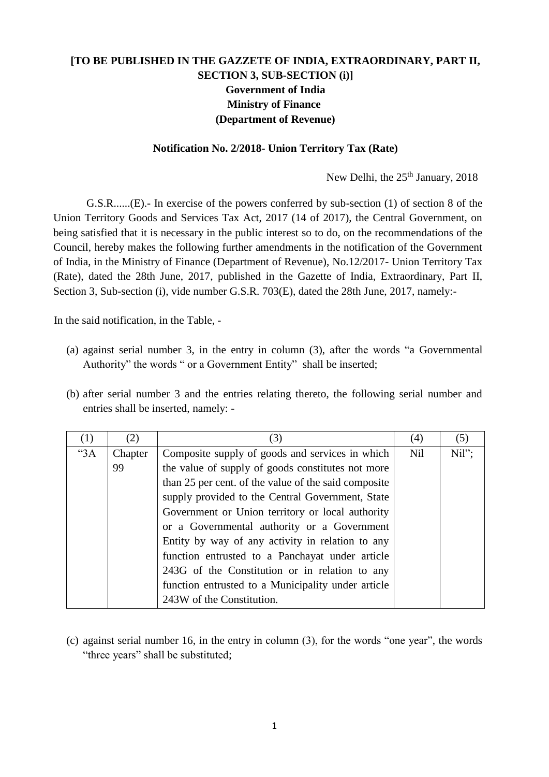## **[TO BE PUBLISHED IN THE GAZZETE OF INDIA, EXTRAORDINARY, PART II, SECTION 3, SUB-SECTION (i)] Government of India Ministry of Finance (Department of Revenue)**

## **Notification No. 2/2018- Union Territory Tax (Rate)**

New Delhi, the 25<sup>th</sup> January, 2018

G.S.R......(E).- In exercise of the powers conferred by sub-section (1) of section 8 of the Union Territory Goods and Services Tax Act, 2017 (14 of 2017), the Central Government, on being satisfied that it is necessary in the public interest so to do, on the recommendations of the Council, hereby makes the following further amendments in the notification of the Government of India, in the Ministry of Finance (Department of Revenue), No.12/2017- Union Territory Tax (Rate), dated the 28th June, 2017, published in the Gazette of India, Extraordinary, Part II, Section 3, Sub-section (i), vide number G.S.R. 703(E), dated the 28th June, 2017, namely:-

In the said notification, in the Table, -

- (a) against serial number 3, in the entry in column (3), after the words "a Governmental Authority" the words " or a Government Entity" shall be inserted;
- (b) after serial number 3 and the entries relating thereto, the following serial number and entries shall be inserted, namely: -

| (1) | (2)     | (3)                                                  | (4)        | (5)   |
|-----|---------|------------------------------------------------------|------------|-------|
| "3A | Chapter | Composite supply of goods and services in which      | <b>Nil</b> | Nil"; |
|     | 99      | the value of supply of goods constitutes not more    |            |       |
|     |         | than 25 per cent. of the value of the said composite |            |       |
|     |         | supply provided to the Central Government, State     |            |       |
|     |         | Government or Union territory or local authority     |            |       |
|     |         | or a Governmental authority or a Government          |            |       |
|     |         | Entity by way of any activity in relation to any     |            |       |
|     |         | function entrusted to a Panchayat under article      |            |       |
|     |         | 243G of the Constitution or in relation to any       |            |       |
|     |         | function entrusted to a Municipality under article   |            |       |
|     |         | 243W of the Constitution.                            |            |       |

(c) against serial number 16, in the entry in column (3), for the words "one year", the words "three years" shall be substituted;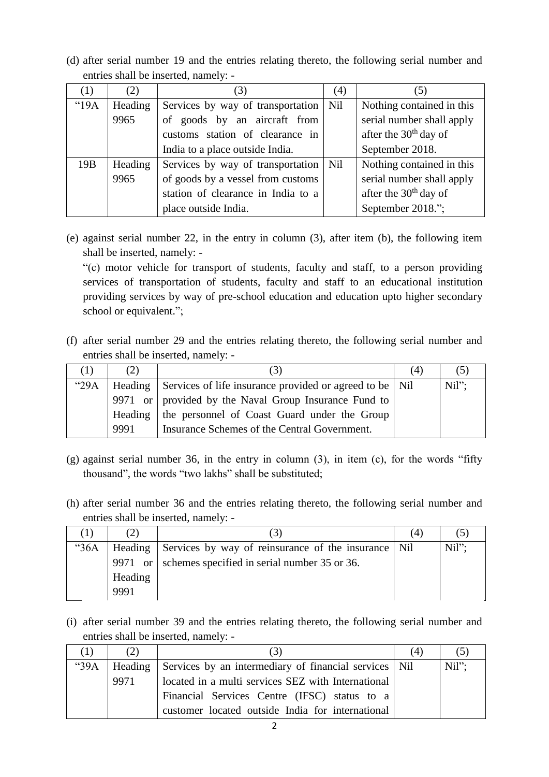(d) after serial number 19 and the entries relating thereto, the following serial number and entries shall be inserted, namely: -

| $\left(1\right)$ | (2)     | (3)                                     | (4)        |                           |
|------------------|---------|-----------------------------------------|------------|---------------------------|
| "19A"            | Heading | Services by way of transportation   Nil |            | Nothing contained in this |
|                  | 9965    | of goods by an aircraft from            |            | serial number shall apply |
|                  |         | customs station of clearance in         |            | after the $30th$ day of   |
|                  |         | India to a place outside India.         |            | September 2018.           |
| 19B              | Heading | Services by way of transportation       | <b>Nil</b> | Nothing contained in this |
|                  | 9965    | of goods by a vessel from customs       |            | serial number shall apply |
|                  |         | station of clearance in India to a      |            | after the $30th$ day of   |
|                  |         | place outside India.                    |            | September 2018.";         |

(e) against serial number 22, in the entry in column (3), after item (b), the following item shall be inserted, namely: -

"(c) motor vehicle for transport of students, faculty and staff, to a person providing services of transportation of students, faculty and staff to an educational institution providing services by way of pre-school education and education upto higher secondary school or equivalent.";

(f) after serial number 29 and the entries relating thereto, the following serial number and entries shall be inserted, namely: -

| $\Box$ | (2)  |                                                                   | (4) |          |
|--------|------|-------------------------------------------------------------------|-----|----------|
| "29A"  |      | Heading Services of life insurance provided or agreed to be   Nil |     | $Nil"$ : |
|        |      | 9971 or   provided by the Naval Group Insurance Fund to           |     |          |
|        |      | Heading the personnel of Coast Guard under the Group              |     |          |
|        | 9991 | Insurance Schemes of the Central Government.                      |     |          |

- (g) against serial number 36, in the entry in column (3), in item (c), for the words "fifty thousand", the words "two lakhs" shall be substituted;
- (h) after serial number 36 and the entries relating thereto, the following serial number and entries shall be inserted, namely: -

|      |         |                                                             | (4) |          |
|------|---------|-------------------------------------------------------------|-----|----------|
| "36A |         | Heading Services by way of reinsurance of the insurance Nil |     | $Nil"$ : |
|      | 9971 or | schemes specified in serial number 35 or 36.                |     |          |
|      | Heading |                                                             |     |          |
|      | 9991    |                                                             |     |          |

(i) after serial number 39 and the entries relating thereto, the following serial number and entries shall be inserted, namely: -

| (2)            |                                                         | (4) | ( ၁ ) |
|----------------|---------------------------------------------------------|-----|-------|
| "39A   Heading | Services by an intermediary of financial services   Nil |     | Nil": |
| 9971           | located in a multi services SEZ with International      |     |       |
|                | Financial Services Centre (IFSC) status to a            |     |       |
|                | customer located outside India for international        |     |       |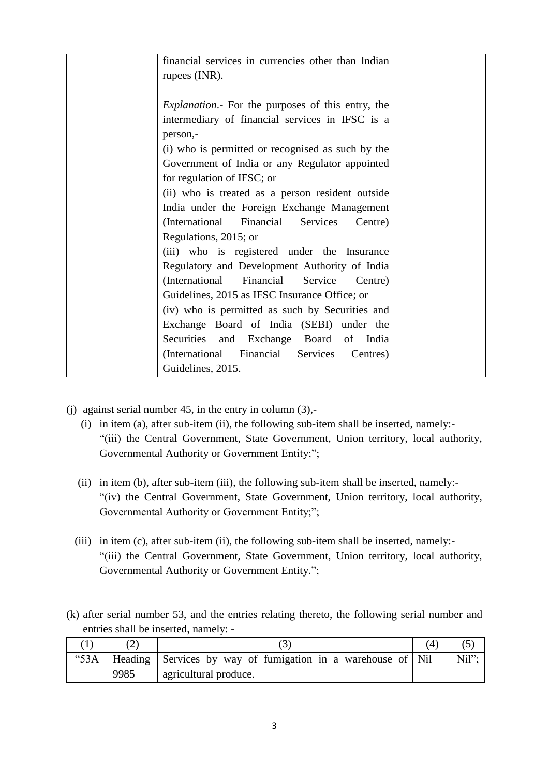| financial services in currencies other than Indian       |  |
|----------------------------------------------------------|--|
| rupees (INR).                                            |  |
| <i>Explanation</i> . For the purposes of this entry, the |  |
| intermediary of financial services in IFSC is a          |  |
| person,-                                                 |  |
| (i) who is permitted or recognised as such by the        |  |
| Government of India or any Regulator appointed           |  |
| for regulation of IFSC; or                               |  |
| (ii) who is treated as a person resident outside         |  |
| India under the Foreign Exchange Management              |  |
| (International Financial Services<br>Centre)             |  |
| Regulations, 2015; or                                    |  |
| (iii) who is registered under the Insurance              |  |
| Regulatory and Development Authority of India            |  |
| (International Financial Service Centre)                 |  |
| Guidelines, 2015 as IFSC Insurance Office; or            |  |
| (iv) who is permitted as such by Securities and          |  |
| Exchange Board of India (SEBI) under the                 |  |
| Securities and Exchange Board of<br>India                |  |
| (International Financial Services<br>Centres)            |  |
| Guidelines, 2015.                                        |  |

- (j) against serial number 45, in the entry in column (3),-
	- (i) in item (a), after sub-item (ii), the following sub-item shall be inserted, namely:- "(iii) the Central Government, State Government, Union territory, local authority, Governmental Authority or Government Entity;";
	- (ii) in item (b), after sub-item (iii), the following sub-item shall be inserted, namely:- "(iv) the Central Government, State Government, Union territory, local authority, Governmental Authority or Government Entity;";
	- (iii) in item (c), after sub-item (ii), the following sub-item shall be inserted, namely:- "(iii) the Central Government, State Government, Union territory, local authority, Governmental Authority or Government Entity.";
- (k) after serial number 53, and the entries relating thereto, the following serial number and entries shall be inserted, namely: -

|      |                                                                        | 4 |       |
|------|------------------------------------------------------------------------|---|-------|
|      | "53A   Heading   Services by way of fumigation in a warehouse of   Nil |   | Nil": |
| 9985 | agricultural produce.                                                  |   |       |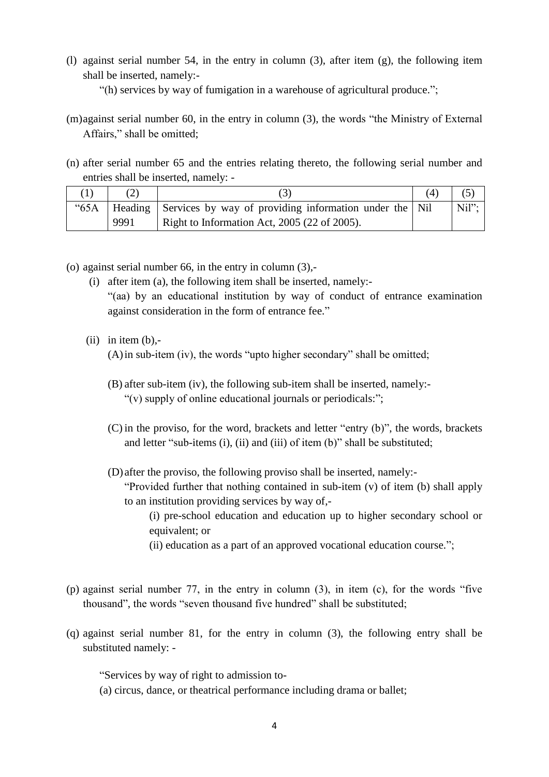- (l) against serial number 54, in the entry in column (3), after item (g), the following item shall be inserted, namely:-
	- "(h) services by way of fumigation in a warehouse of agricultural produce.";
- (m)against serial number 60, in the entry in column (3), the words "the Ministry of External Affairs," shall be omitted;
- (n) after serial number 65 and the entries relating thereto, the following serial number and entries shall be inserted, namely: -

|      | "65A   Heading   Services by way of providing information under the   Nil | Nil": |
|------|---------------------------------------------------------------------------|-------|
| 9991 | Right to Information Act, $2005$ (22 of 2005).                            |       |

- (o) against serial number 66, in the entry in column (3),-
	- (i) after item (a), the following item shall be inserted, namely:-

"(aa) by an educational institution by way of conduct of entrance examination against consideration in the form of entrance fee."

 $(ii)$  in item  $(b)$ ,-

(A)in sub-item (iv), the words "upto higher secondary" shall be omitted;

- (B) after sub-item (iv), the following sub-item shall be inserted, namely:- "(v) supply of online educational journals or periodicals:";
- (C) in the proviso, for the word, brackets and letter "entry (b)", the words, brackets and letter "sub-items (i), (ii) and (iii) of item (b)" shall be substituted;
- (D) after the proviso, the following proviso shall be inserted, namely:- "Provided further that nothing contained in sub-item (v) of item (b) shall apply to an institution providing services by way of,-
	- (i) pre-school education and education up to higher secondary school or equivalent; or
	- (ii) education as a part of an approved vocational education course.";
- (p) against serial number 77, in the entry in column (3), in item (c), for the words "five thousand", the words "seven thousand five hundred" shall be substituted;
- (q) against serial number 81, for the entry in column (3), the following entry shall be substituted namely: -

"Services by way of right to admission to-

(a) circus, dance, or theatrical performance including drama or ballet;